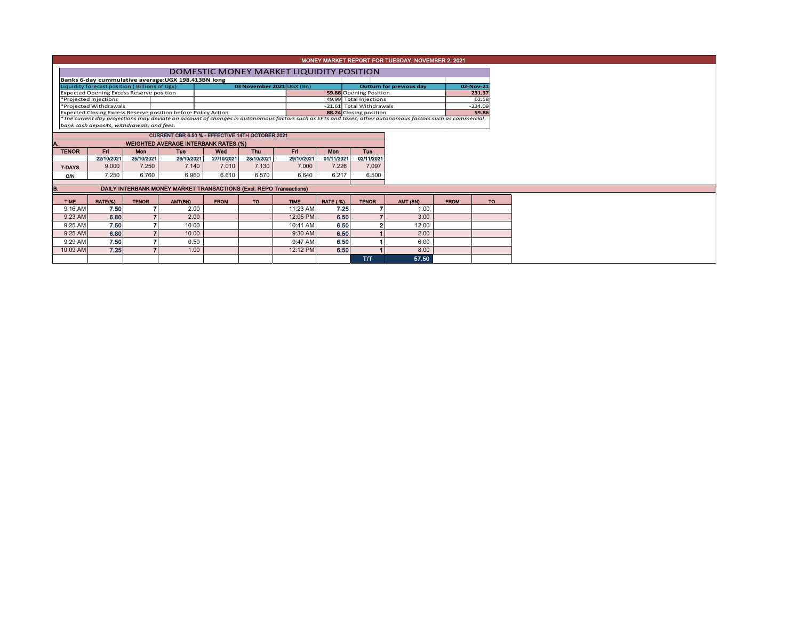|                                                                                         | MONEY MARKET REPORT FOR TUESDAY, NOVEMBER 2, 2021   |              |                                                                     |             |            |             |                                                    |                        |                                                                                                                                                          |                    |           |  |  |  |
|-----------------------------------------------------------------------------------------|-----------------------------------------------------|--------------|---------------------------------------------------------------------|-------------|------------|-------------|----------------------------------------------------|------------------------|----------------------------------------------------------------------------------------------------------------------------------------------------------|--------------------|-----------|--|--|--|
|                                                                                         | DOMESTIC MONEY MARKET LIQUIDITY POSITION            |              |                                                                     |             |            |             |                                                    |                        |                                                                                                                                                          |                    |           |  |  |  |
|                                                                                         | Banks 6-day cummulative average: UGX 198.413BN long |              |                                                                     |             |            |             |                                                    |                        |                                                                                                                                                          |                    |           |  |  |  |
| Liquidity forecast position (Billions of Ugx)<br>03 November 2021 UGX (Bn)              |                                                     |              |                                                                     |             |            |             |                                                    |                        | <b>Outturn for previous day</b>                                                                                                                          |                    | 02-Nov-21 |  |  |  |
| <b>Expected Opening Excess Reserve position</b>                                         |                                                     |              |                                                                     |             |            |             |                                                    | 59.86 Opening Position |                                                                                                                                                          |                    | 231.37    |  |  |  |
| *Projected Injections                                                                   |                                                     |              |                                                                     |             |            |             | 49.99 Total Injections<br>-21.61 Total Withdrawals |                        |                                                                                                                                                          | 62.58<br>$-234.09$ |           |  |  |  |
| *Projected Withdrawals<br>Expected Closing Excess Reserve position before Policy Action |                                                     |              |                                                                     |             |            |             | 88.24 Closing position                             |                        |                                                                                                                                                          | 59.86              |           |  |  |  |
|                                                                                         |                                                     |              |                                                                     |             |            |             |                                                    |                        | *The current day projections may deviate on account of changes in autonomous factors such as EFTs and taxes; other autonomous factors such as commercial |                    |           |  |  |  |
| bank cash deposits, withdrawals, and fees.                                              |                                                     |              |                                                                     |             |            |             |                                                    |                        |                                                                                                                                                          |                    |           |  |  |  |
|                                                                                         |                                                     |              | CURRENT CBR 6.50 % - EFFECTIVE 14TH OCTOBER 2021                    |             |            |             |                                                    |                        |                                                                                                                                                          |                    |           |  |  |  |
|                                                                                         | <b>WEIGHTED AVERAGE INTERBANK RATES (%)</b>         |              |                                                                     |             |            |             |                                                    |                        |                                                                                                                                                          |                    |           |  |  |  |
| <b>TENOR</b>                                                                            | Fri                                                 | Mon          | <b>Tue</b>                                                          | Wed         | Thu        | Fri.        | Mon                                                | Tue                    |                                                                                                                                                          |                    |           |  |  |  |
|                                                                                         | 22/10/2021                                          | 25/10/2021   | 26/10/2021                                                          | 27/10/2021  | 28/10/2021 | 29/10/2021  | 01/11/2021                                         | 02/11/2021             |                                                                                                                                                          |                    |           |  |  |  |
| 7-DAYS                                                                                  | 9.000                                               | 7.250        | 7.140                                                               | 7.010       | 7.130      | 7.000       | 7.226                                              | 7.097                  |                                                                                                                                                          |                    |           |  |  |  |
| O/N                                                                                     | 7.250                                               | 6.760        | 6.960                                                               | 6.610       | 6.570      | 6.640       | 6.217                                              | 6.500                  |                                                                                                                                                          |                    |           |  |  |  |
|                                                                                         |                                                     |              |                                                                     |             |            |             |                                                    |                        |                                                                                                                                                          |                    |           |  |  |  |
| В.                                                                                      |                                                     |              | DAILY INTERBANK MONEY MARKET TRANSACTIONS (Excl. REPO Transactions) |             |            |             |                                                    |                        |                                                                                                                                                          |                    |           |  |  |  |
| <b>TIME</b>                                                                             | RATE(%)                                             | <b>TENOR</b> | AMT(BN)                                                             | <b>FROM</b> | TO.        | <b>TIME</b> | <b>RATE (%)</b>                                    | <b>TENOR</b>           | AMT (BN)                                                                                                                                                 | <b>FROM</b>        | <b>TO</b> |  |  |  |
| 9:16 AM                                                                                 | 7.50                                                |              | 2.00                                                                |             |            | 11:23 AM    | 7.25                                               |                        | 1.00                                                                                                                                                     |                    |           |  |  |  |
| 9:23 AM                                                                                 | 6.80                                                |              | 2.00                                                                |             |            | 12:05 PM    | 6.50                                               |                        | 3.00                                                                                                                                                     |                    |           |  |  |  |
| 9:25 AM                                                                                 | 7.50                                                |              | 10.00                                                               |             |            | 10:41 AM    | 6.50                                               |                        | 12.00                                                                                                                                                    |                    |           |  |  |  |
| 9:25 AM                                                                                 | 6.80                                                |              | 10.00                                                               |             |            | $9:30$ AM   | 6.50                                               |                        | 2.00                                                                                                                                                     |                    |           |  |  |  |
| 9:29 AM                                                                                 | 7.50                                                |              | 0.50                                                                |             |            | 9:47 AM     | 6.50                                               |                        | 6.00                                                                                                                                                     |                    |           |  |  |  |
| 10:09 AM                                                                                | 7.25                                                |              | 1.00                                                                |             |            | 12:12 PM    | 6.50                                               |                        | 8.00                                                                                                                                                     |                    |           |  |  |  |
|                                                                                         |                                                     |              |                                                                     |             |            |             |                                                    | T/T                    | 57.50                                                                                                                                                    |                    |           |  |  |  |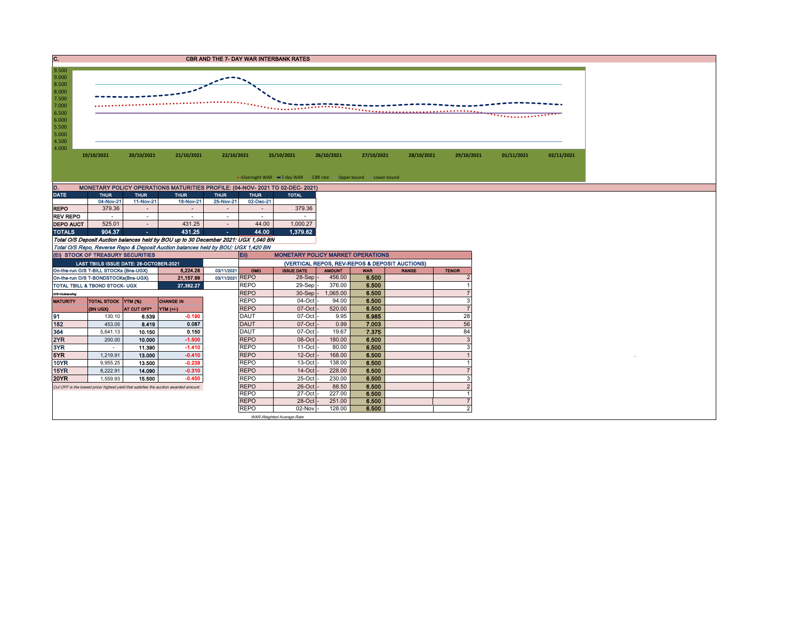| с.             |            |            |            |            | <b>CBR AND THE 7- DAY WAR INTERBANK RATES</b> |            |                                                                   |            |            |            |            |
|----------------|------------|------------|------------|------------|-----------------------------------------------|------------|-------------------------------------------------------------------|------------|------------|------------|------------|
| 9.500          |            |            |            |            |                                               |            |                                                                   |            |            |            |            |
| 9.000          |            |            |            |            |                                               |            |                                                                   |            |            |            |            |
| 8.500          |            |            |            |            |                                               |            |                                                                   |            |            |            |            |
| 8.000          |            |            |            |            |                                               |            |                                                                   |            |            |            |            |
| 7.500<br>7.000 |            |            |            |            |                                               |            |                                                                   |            |            |            |            |
| 6.500          |            |            |            |            |                                               |            |                                                                   |            |            |            |            |
|                |            |            |            |            |                                               |            |                                                                   |            |            |            |            |
|                |            |            |            |            |                                               |            |                                                                   |            |            |            |            |
|                |            |            |            |            |                                               |            |                                                                   |            |            |            |            |
|                |            |            |            |            |                                               |            |                                                                   |            |            |            |            |
|                | 19/10/2021 | 20/10/2021 | 21/10/2021 | 22/10/2021 | 25/10/2021                                    | 26/10/2021 | 27/10/2021                                                        | 28/10/2021 | 29/10/2021 | 01/11/2021 | 02/11/2021 |
|                |            |            |            |            |                                               |            |                                                                   |            |            |            |            |
|                |            |            |            |            |                                               |            |                                                                   |            |            |            |            |
|                |            |            |            |            |                                               |            | • Overnight WAR -7-day WAR - CBR rate - Upper bound - Lower bound |            |            |            |            |

| MONETARY POLICY OPERATIONS MATURITIES PROFILE: (04-NOV-2021 TO 02-DEC-2021)<br>D. |             |             |             |                          |             |              |  |  |  |  |  |  |  |  |
|-----------------------------------------------------------------------------------|-------------|-------------|-------------|--------------------------|-------------|--------------|--|--|--|--|--|--|--|--|
| <b>DATE</b>                                                                       | <b>THUR</b> | <b>THUR</b> | <b>THUR</b> | <b>THUR</b>              | <b>THUR</b> | <b>TOTAL</b> |  |  |  |  |  |  |  |  |
|                                                                                   | 04-Nov-21   | 11-Nov-21   | 18-Nov-21   | 25-Nov-21                | 02-Dec-21   |              |  |  |  |  |  |  |  |  |
| <b>REPO</b>                                                                       | 379.36      |             |             | ۰                        |             | 379.36       |  |  |  |  |  |  |  |  |
| <b>REV REPO</b>                                                                   |             | ۰           | ۰           | ۰                        |             |              |  |  |  |  |  |  |  |  |
| <b>DEPO AUCT</b>                                                                  | 525.01      |             | 431.25      | $\overline{\phantom{a}}$ | 44.00       | 1.000.27     |  |  |  |  |  |  |  |  |
| <b>TOTALS</b>                                                                     | 904.37      | ٠           | 431.25      | ٠                        | 44.00       | 1,379.62     |  |  |  |  |  |  |  |  |

TOTALS 904.37 944.00 - 431.25<br>Total O/S Deposit Auction balances held by BOU up to 30 December 2021: UGX 1,040 BN<br>Total O/S Repos Reverse Repo & Deposit Auction balances held by BOU: UGX 1,420 BN<br>(El) STOCK OF TREASURY SEC

|                                                                      | (EI) STOCK OF TREASURY SECURITIES                                                     |             |                  |  | <b>MONETARY POLICY MARKET OPERATIONS</b><br><b>Eii</b> ) |                           |               |            |              |              |  |  |  |
|----------------------------------------------------------------------|---------------------------------------------------------------------------------------|-------------|------------------|--|----------------------------------------------------------|---------------------------|---------------|------------|--------------|--------------|--|--|--|
|                                                                      | LAST TBIILS ISSUE DATE: 28-OCTOBER-2021                                               |             |                  |  | (VERTICAL REPOS, REV-REPOS & DEPOSIT AUCTIONS)           |                           |               |            |              |              |  |  |  |
| 6,224.28<br>On-the-run O/S T-BILL STOCKs (Bns-UGX)<br>03/11/2021     |                                                                                       |             |                  |  |                                                          | <b>ISSUE DATE</b>         | <b>AMOUNT</b> | <b>WAR</b> | <b>RANGE</b> | <b>TENOR</b> |  |  |  |
| 03/11/2021 REPO<br>21,157.99<br>On-the-run O/S T-BONDSTOCKs(Bns-UGX) |                                                                                       |             |                  |  |                                                          | 28-Sep -                  | 456.00        | 6.500      |              |              |  |  |  |
| 27,382.27<br><b>TOTAL TBILL &amp; TBOND STOCK- UGX</b>               |                                                                                       |             |                  |  | <b>REPO</b>                                              | 29-Sep-                   | 376.00        | 6.500      |              |              |  |  |  |
| O/S=Outstanding                                                      |                                                                                       |             |                  |  | <b>REPO</b>                                              | $30-Sep$ -                | 1,065.00      | 6.500      |              |              |  |  |  |
| <b>MATURITY</b>                                                      | <b>TOTAL STOCK YTM (%)</b>                                                            |             | <b>CHANGE IN</b> |  | <b>REPO</b>                                              | 04-Oct -                  | 94.00         | 6.500      |              |              |  |  |  |
|                                                                      | (BN UGX)                                                                              | AT CUT OFF* | YTM (+/-)        |  | <b>REPO</b>                                              | $07$ -Oct $-$             | 520.00        | 6.500      |              |              |  |  |  |
| 91                                                                   | 130.10                                                                                | 6.539       | $-0.190$         |  | <b>DAUT</b>                                              | $07$ -Oct $-$             | 9.95          | 6.985      |              | 28           |  |  |  |
| 182                                                                  | 453.05                                                                                | 8.419       | 0.087            |  | <b>DAUT</b>                                              | $07$ -Oct $-$             | 0.99          | 7.003      |              | 56           |  |  |  |
| 364                                                                  | 5,641.13                                                                              | 10.150      | 0.150            |  | <b>DAUT</b>                                              | $07$ -Oct $-$             | 19.67         | 7.375      |              | 84           |  |  |  |
| 2YR                                                                  | 200.00                                                                                | 10.000      | $-1.500$         |  | <b>REPO</b>                                              | $08$ -Oct $-$             | 180.00        | 6.500      |              |              |  |  |  |
| 3YR                                                                  |                                                                                       | 11.390      | $-1.410$         |  | <b>REPO</b>                                              | $11$ -Oct $-$             | 80.00         | 6.500      |              |              |  |  |  |
| 5YR                                                                  | 1,219.91                                                                              | 13.000      | $-0.410$         |  | <b>REPO</b>                                              | $12$ -Oct $-$             | 168.00        | 6.500      |              |              |  |  |  |
| 10YR                                                                 | 9,955.25                                                                              | 13.500      | $-0.239$         |  | <b>REPO</b>                                              | $13-Oct$                  | 138.00        | 6.500      |              |              |  |  |  |
| 15YR                                                                 | 8,222.91                                                                              | 14.090      | $-0.310$         |  | <b>REPO</b>                                              | $14$ -Oct $-$             | 228.00        | 6.500      |              |              |  |  |  |
| <b>20YR</b>                                                          | 1.559.93                                                                              | 15.500      | $-0.450$         |  | <b>REPO</b>                                              | 25-Oct -                  | 230.00        | 6.500      |              |              |  |  |  |
|                                                                      | Cut OFF is the lowest price/ highest yield that satisfies the auction awarded amount. |             |                  |  |                                                          | $26$ -Oct $-$             | 88.50         | 6.500      |              |              |  |  |  |
|                                                                      |                                                                                       |             |                  |  | <b>REPO</b>                                              | 27-Oct -                  | 227.00        | 6.500      |              |              |  |  |  |
|                                                                      |                                                                                       |             |                  |  | <b>REPO</b>                                              | 28-Oct -                  | 251.00        | 6.500      |              |              |  |  |  |
|                                                                      |                                                                                       |             |                  |  | <b>REPO</b>                                              | $02-Nov$ -                | 128.00        | 6.500      |              |              |  |  |  |
|                                                                      |                                                                                       |             |                  |  |                                                          | WAR-Weighted Average Rate |               |            |              |              |  |  |  |